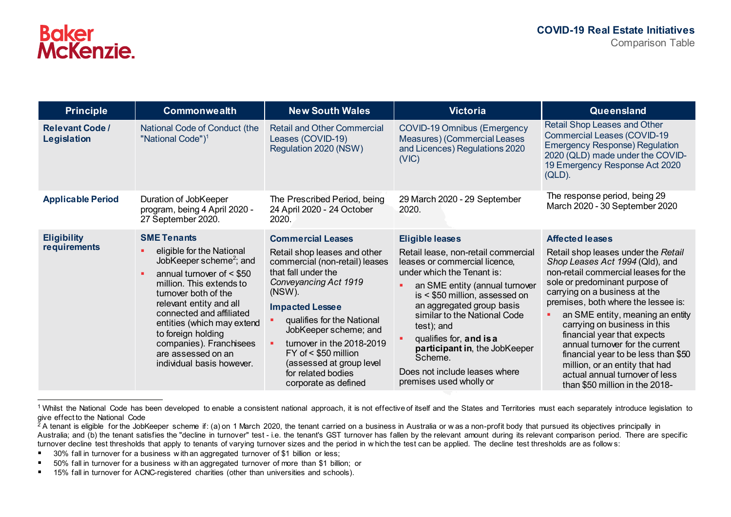| <b>Principle</b>                             | <b>Commonwealth</b>                                                                                                                                                                                                                                                                                                                                                | <b>New South Wales</b>                                                                                                                                                                                                                                                                                                                                                 | <b>Victoria</b>                                                                                                                                                                                                                                                                                                                                                                                                | Queensland                                                                                                                                                                                                                                                                                                                                                                                                                                                                                                                            |
|----------------------------------------------|--------------------------------------------------------------------------------------------------------------------------------------------------------------------------------------------------------------------------------------------------------------------------------------------------------------------------------------------------------------------|------------------------------------------------------------------------------------------------------------------------------------------------------------------------------------------------------------------------------------------------------------------------------------------------------------------------------------------------------------------------|----------------------------------------------------------------------------------------------------------------------------------------------------------------------------------------------------------------------------------------------------------------------------------------------------------------------------------------------------------------------------------------------------------------|---------------------------------------------------------------------------------------------------------------------------------------------------------------------------------------------------------------------------------------------------------------------------------------------------------------------------------------------------------------------------------------------------------------------------------------------------------------------------------------------------------------------------------------|
| <b>Relevant Code /</b><br><b>Legislation</b> | National Code of Conduct (the<br>"National Code") <sup>1</sup>                                                                                                                                                                                                                                                                                                     | <b>Retail and Other Commercial</b><br>Leases (COVID-19)<br>Regulation 2020 (NSW)                                                                                                                                                                                                                                                                                       | <b>COVID-19 Omnibus (Emergency</b><br>Measures) (Commercial Leases<br>and Licences) Regulations 2020<br>(VIC)                                                                                                                                                                                                                                                                                                  | Retail Shop Leases and Other<br><b>Commercial Leases (COVID-19)</b><br><b>Emergency Response) Regulation</b><br>2020 (QLD) made under the COVID-<br>19 Emergency Response Act 2020<br>$(QLD)$ .                                                                                                                                                                                                                                                                                                                                       |
| <b>Applicable Period</b>                     | Duration of JobKeeper<br>program, being 4 April 2020 -<br>27 September 2020.                                                                                                                                                                                                                                                                                       | The Prescribed Period, being<br>24 April 2020 - 24 October<br>2020.                                                                                                                                                                                                                                                                                                    | 29 March 2020 - 29 September<br>2020.                                                                                                                                                                                                                                                                                                                                                                          | The response period, being 29<br>March 2020 - 30 September 2020                                                                                                                                                                                                                                                                                                                                                                                                                                                                       |
| <b>Eligibility</b><br>requirements           | <b>SME Tenants</b><br>eligible for the National<br>JobKeeper scheme <sup>2</sup> ; and<br>annual turnover of $<$ \$50<br>million. This extends to<br>turnover both of the<br>relevant entity and all<br>connected and affiliated<br>entities (which may extend<br>to foreign holding<br>companies). Franchisees<br>are assessed on an<br>individual basis however. | <b>Commercial Leases</b><br>Retail shop leases and other<br>commercial (non-retail) leases<br>that fall under the<br>Conveyancing Act 1919<br>(NSW).<br><b>Impacted Lessee</b><br>qualifies for the National<br>JobKeeper scheme; and<br>turnover in the 2018-2019<br>$FY$ of < \$50 million<br>(assessed at group level<br>for related bodies<br>corporate as defined | <b>Eligible leases</b><br>Retail lease, non-retail commercial<br>leases or commercial licence,<br>under which the Tenant is:<br>an SME entity (annual turnover<br>is < \$50 million, assessed on<br>an aggregated group basis<br>similar to the National Code<br>test); and<br>qualifies for, and is a<br>participant in, the JobKeeper<br>Scheme.<br>Does not include leases where<br>premises used wholly or | <b>Affected leases</b><br>Retail shop leases under the Retail<br>Shop Leases Act 1994 (Qld), and<br>non-retail commercial leases for the<br>sole or predominant purpose of<br>carrying on a business at the<br>premises, both where the lessee is:<br>an SME entity, meaning an entity<br>carrying on business in this<br>financial year that expects<br>annual turnover for the current<br>financial year to be less than \$50<br>million, or an entity that had<br>actual annual turnover of less<br>than \$50 million in the 2018- |

 $\overline{a}$ <sup>1</sup> Whilst the National Code has been developed to enable a consistent national approach, it is not effective of itself and the States and Territories must each separately introduce legislation to give effect to the National Code

<sup>&</sup>lt;sup>2</sup> A tenant is eligible for the JobKeeper scheme if: (a) on 1 March 2020, the tenant carried on a business in Australia or was a non-profit body that pursued its objectives principally in Australia; and (b) the tenant satisfies the "decline in turnover" test - i.e. the tenant's GST turnover has fallen by the relevant amount during its relevant comparison period. There are specific turnover decline test thresholds that apply to tenants of varying turnover sizes and the period in w hich the test can be applied. The decline test thresholds are as follow s:

<sup>■ 30%</sup> fall in turnover for a business w ith an aggregated turnover of \$1 billion or less;

50% fall in turnover for a business w ith an aggregated turnover of more than \$1 billion; or

<sup>■ 15%</sup> fall in turnover for ACNC-registered charities (other than universities and schools).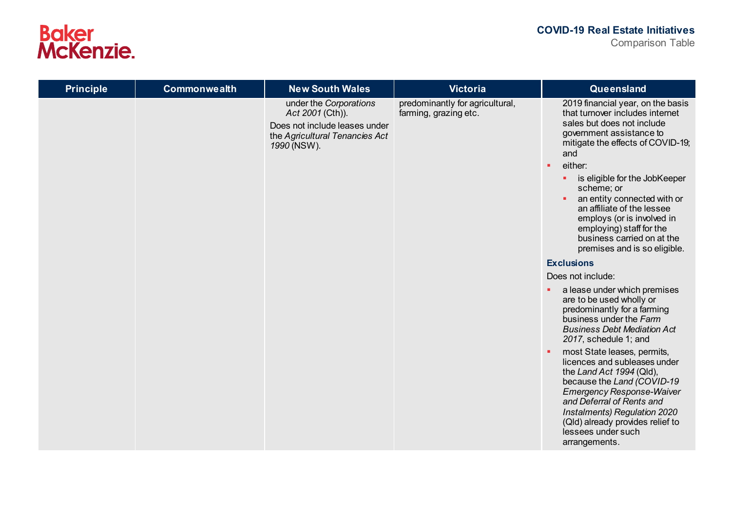

| <b>Principle</b> | Commonwealth | <b>New South Wales</b>                                                                                                       | <b>Victoria</b>                                          | Queensland                                                                                                                                                                                                                                                                                                                                                                                                                                        |
|------------------|--------------|------------------------------------------------------------------------------------------------------------------------------|----------------------------------------------------------|---------------------------------------------------------------------------------------------------------------------------------------------------------------------------------------------------------------------------------------------------------------------------------------------------------------------------------------------------------------------------------------------------------------------------------------------------|
|                  |              | under the Corporations<br>Act 2001 (Cth)).<br>Does not include leases under<br>the Agricultural Tenancies Act<br>1990 (NSW). | predominantly for agricultural,<br>farming, grazing etc. | 2019 financial year, on the basis<br>that turnover includes internet<br>sales but does not include<br>government assistance to<br>mitigate the effects of COVID-19;<br>and<br>either:<br>$\blacksquare$<br>is eligible for the JobKeeper<br>п.<br>scheme; or<br>an entity connected with or<br>an affiliate of the lessee<br>employs (or is involved in<br>employing) staff for the<br>business carried on at the<br>premises and is so eligible. |
|                  |              |                                                                                                                              |                                                          | <b>Exclusions</b><br>Does not include:                                                                                                                                                                                                                                                                                                                                                                                                            |
|                  |              |                                                                                                                              |                                                          | a lease under which premises<br>×.<br>are to be used wholly or<br>predominantly for a farming<br>business under the Farm<br><b>Business Debt Mediation Act</b><br>2017, schedule 1; and                                                                                                                                                                                                                                                           |
|                  |              |                                                                                                                              |                                                          | most State leases, permits,<br>licences and subleases under<br>the Land Act 1994 (Qld),<br>because the Land (COVID-19<br><b>Emergency Response-Waiver</b><br>and Deferral of Rents and<br>Instalments) Regulation 2020<br>(Qld) already provides relief to<br>lessees under such<br>arrangements.                                                                                                                                                 |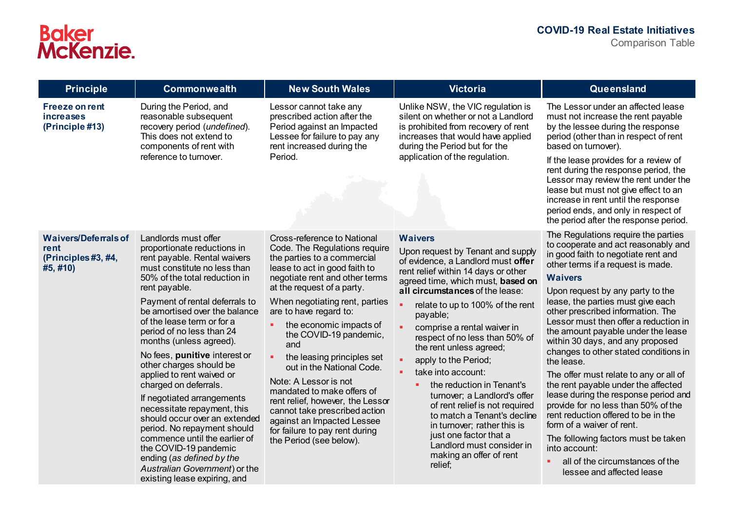| <b>Principle</b>                                                              | Commonwealth                                                                                                                                                                                                                                                                                                                                                                                                                                                                                                                                                                                                                                                                                                                          | <b>New South Wales</b>                                                                                                                                                                                                                                                                                                                                                                                                                                                                                                                                                                                 | <b>Victoria</b>                                                                                                                                                                                                                                                                                                                                                                                                                                                                                                                                                                                                                                              | Queensland                                                                                                                                                                                                                                                                                                                                                                                                                                                                                                                                                                                                                                                                                                                                                                                                                   |
|-------------------------------------------------------------------------------|---------------------------------------------------------------------------------------------------------------------------------------------------------------------------------------------------------------------------------------------------------------------------------------------------------------------------------------------------------------------------------------------------------------------------------------------------------------------------------------------------------------------------------------------------------------------------------------------------------------------------------------------------------------------------------------------------------------------------------------|--------------------------------------------------------------------------------------------------------------------------------------------------------------------------------------------------------------------------------------------------------------------------------------------------------------------------------------------------------------------------------------------------------------------------------------------------------------------------------------------------------------------------------------------------------------------------------------------------------|--------------------------------------------------------------------------------------------------------------------------------------------------------------------------------------------------------------------------------------------------------------------------------------------------------------------------------------------------------------------------------------------------------------------------------------------------------------------------------------------------------------------------------------------------------------------------------------------------------------------------------------------------------------|------------------------------------------------------------------------------------------------------------------------------------------------------------------------------------------------------------------------------------------------------------------------------------------------------------------------------------------------------------------------------------------------------------------------------------------------------------------------------------------------------------------------------------------------------------------------------------------------------------------------------------------------------------------------------------------------------------------------------------------------------------------------------------------------------------------------------|
| <b>Freeze on rent</b><br>increases<br>(Principle #13)                         | During the Period, and<br>reasonable subsequent<br>recovery period (undefined).<br>This does not extend to<br>components of rent with<br>reference to turnover.                                                                                                                                                                                                                                                                                                                                                                                                                                                                                                                                                                       | Lessor cannot take any<br>prescribed action after the<br>Period against an Impacted<br>Lessee for failure to pay any<br>rent increased during the<br>Period.                                                                                                                                                                                                                                                                                                                                                                                                                                           | Unlike NSW, the VIC regulation is<br>silent on whether or not a Landlord<br>is prohibited from recovery of rent<br>increases that would have applied<br>during the Period but for the<br>application of the regulation.                                                                                                                                                                                                                                                                                                                                                                                                                                      | The Lessor under an affected lease<br>must not increase the rent payable<br>by the lessee during the response<br>period (other than in respect of rent<br>based on turnover).<br>If the lease provides for a review of<br>rent during the response period, the<br>Lessor may review the rent under the<br>lease but must not give effect to an<br>increase in rent until the response<br>period ends, and only in respect of<br>the period after the response period.                                                                                                                                                                                                                                                                                                                                                        |
| <b>Waivers/Deferrals of</b><br><b>rent</b><br>(Principles #3, #4,<br>#5, #10) | Landlords must offer<br>proportionate reductions in<br>rent payable. Rental waivers<br>must constitute no less than<br>50% of the total reduction in<br>rent payable.<br>Payment of rental deferrals to<br>be amortised over the balance<br>of the lease term or for a<br>period of no less than 24<br>months (unless agreed).<br>No fees, punitive interest or<br>other charges should be<br>applied to rent waived or<br>charged on deferrals.<br>If negotiated arrangements<br>necessitate repayment, this<br>should occur over an extended<br>period. No repayment should<br>commence until the earlier of<br>the COVID-19 pandemic<br>ending (as defined by the<br>Australian Government) or the<br>existing lease expiring, and | Cross-reference to National<br>Code. The Regulations require<br>the parties to a commercial<br>lease to act in good faith to<br>negotiate rent and other terms<br>at the request of a party.<br>When negotiating rent, parties<br>are to have regard to:<br>the economic impacts of<br>the COVID-19 pandemic,<br>and<br>the leasing principles set<br>out in the National Code.<br>Note: A Lessor is not<br>mandated to make offers of<br>rent relief, however, the Lessor<br>cannot take prescribed action<br>against an Impacted Lessee<br>for failure to pay rent during<br>the Period (see below). | <b>Waivers</b><br>Upon request by Tenant and supply<br>of evidence, a Landlord must offer<br>rent relief within 14 days or other<br>agreed time, which must, based on<br>all circumstances of the lease:<br>relate to up to 100% of the rent<br>payable;<br>comprise a rental waiver in<br>respect of no less than 50% of<br>the rent unless agreed;<br>apply to the Period;<br>take into account:<br>the reduction in Tenant's<br>turnover; a Landlord's offer<br>of rent relief is not required<br>to match a Tenant's decline<br>in turnover; rather this is<br>just one factor that a<br>Landlord must consider in<br>making an offer of rent<br>relief; | The Regulations require the parties<br>to cooperate and act reasonably and<br>in good faith to negotiate rent and<br>other terms if a request is made.<br><b>Waivers</b><br>Upon request by any party to the<br>lease, the parties must give each<br>other prescribed information. The<br>Lessor must then offer a reduction in<br>the amount payable under the lease<br>within 30 days, and any proposed<br>changes to other stated conditions in<br>the lease.<br>The offer must relate to any or all of<br>the rent payable under the affected<br>lease during the response period and<br>provide for no less than 50% of the<br>rent reduction offered to be in the<br>form of a waiver of rent.<br>The following factors must be taken<br>into account:<br>all of the circumstances of the<br>lessee and affected lease |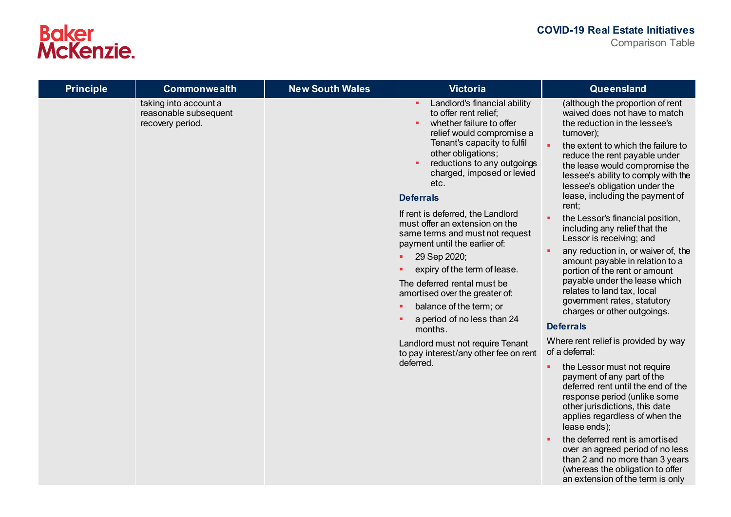| <b>Principle</b> | <b>Commonwealth</b>                                                | <b>New South Wales</b> | <b>Victoria</b>                                                                                                                                                                                                                                                                                                                                                                                                                                                                                                                                                                                                                                                                               | Queensland                                                                                                                                                                                                                                                                                                                                                                                                                                                                                                                                                                                                                                                                                                                                                                                                                                                                                                                                                                                                                                                                                                                                                                               |
|------------------|--------------------------------------------------------------------|------------------------|-----------------------------------------------------------------------------------------------------------------------------------------------------------------------------------------------------------------------------------------------------------------------------------------------------------------------------------------------------------------------------------------------------------------------------------------------------------------------------------------------------------------------------------------------------------------------------------------------------------------------------------------------------------------------------------------------|------------------------------------------------------------------------------------------------------------------------------------------------------------------------------------------------------------------------------------------------------------------------------------------------------------------------------------------------------------------------------------------------------------------------------------------------------------------------------------------------------------------------------------------------------------------------------------------------------------------------------------------------------------------------------------------------------------------------------------------------------------------------------------------------------------------------------------------------------------------------------------------------------------------------------------------------------------------------------------------------------------------------------------------------------------------------------------------------------------------------------------------------------------------------------------------|
|                  | taking into account a<br>reasonable subsequent<br>recovery period. |                        | Landlord's financial ability<br>to offer rent relief;<br>whether failure to offer<br>relief would compromise a<br>Tenant's capacity to fulfil<br>other obligations;<br>reductions to any outgoings<br>charged, imposed or levied<br>etc.<br><b>Deferrals</b><br>If rent is deferred, the Landlord<br>must offer an extension on the<br>same terms and must not request<br>payment until the earlier of:<br>29 Sep 2020;<br>×.<br>expiry of the term of lease.<br>The deferred rental must be<br>amortised over the greater of:<br>balance of the term; or<br>a period of no less than 24<br>months.<br>Landlord must not require Tenant<br>to pay interest/any other fee on rent<br>deferred. | (although the proportion of rent<br>waived does not have to match<br>the reduction in the lessee's<br>turnover);<br>a.<br>the extent to which the failure to<br>reduce the rent payable under<br>the lease would compromise the<br>lessee's ability to comply with the<br>lessee's obligation under the<br>lease, including the payment of<br>rent;<br>the Lessor's financial position,<br>including any relief that the<br>Lessor is receiving; and<br>any reduction in, or waiver of, the<br>amount payable in relation to a<br>portion of the rent or amount<br>payable under the lease which<br>relates to land tax, local<br>government rates, statutory<br>charges or other outgoings.<br><b>Deferrals</b><br>Where rent relief is provided by way<br>of a deferral:<br>the Lessor must not require<br>×.<br>payment of any part of the<br>deferred rent until the end of the<br>response period (unlike some<br>other jurisdictions, this date<br>applies regardless of when the<br>lease ends);<br>the deferred rent is amortised<br>over an agreed period of no less<br>than 2 and no more than 3 years<br>(whereas the obligation to offer<br>an extension of the term is only |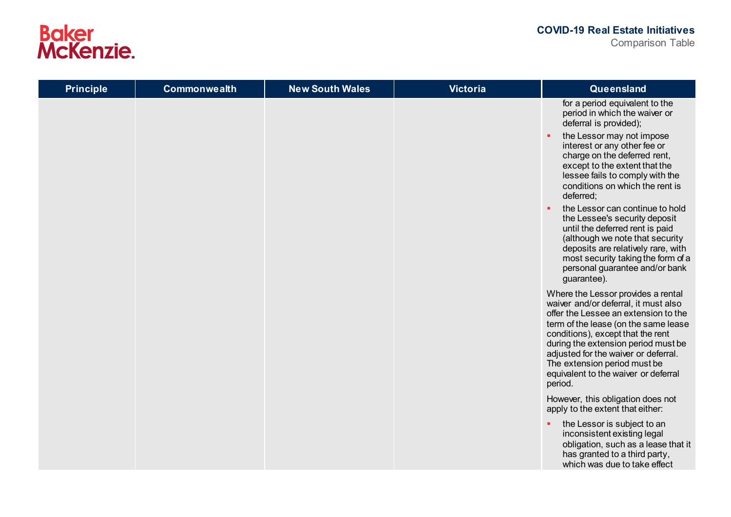| <b>Principle</b> | <b>Commonwealth</b> | <b>New South Wales</b> | <b>Victoria</b> | Queensland                                                                                                                                                                                                                                                                                                                                                                                                                                                                                                                                                                             |
|------------------|---------------------|------------------------|-----------------|----------------------------------------------------------------------------------------------------------------------------------------------------------------------------------------------------------------------------------------------------------------------------------------------------------------------------------------------------------------------------------------------------------------------------------------------------------------------------------------------------------------------------------------------------------------------------------------|
|                  |                     |                        |                 | for a period equivalent to the<br>period in which the waiver or<br>deferral is provided);<br>the Lessor may not impose<br>interest or any other fee or<br>charge on the deferred rent,<br>except to the extent that the<br>lessee fails to comply with the<br>conditions on which the rent is<br>deferred;<br>the Lessor can continue to hold<br>٠<br>the Lessee's security deposit<br>until the deferred rent is paid<br>(although we note that security<br>deposits are relatively rare, with<br>most security taking the form of a<br>personal guarantee and/or bank<br>guarantee). |
|                  |                     |                        |                 | Where the Lessor provides a rental<br>waiver and/or deferral, it must also<br>offer the Lessee an extension to the<br>term of the lease (on the same lease<br>conditions), except that the rent<br>during the extension period must be<br>adjusted for the waiver or deferral.<br>The extension period must be<br>equivalent to the waiver or deferral<br>period.                                                                                                                                                                                                                      |
|                  |                     |                        |                 | However, this obligation does not<br>apply to the extent that either:                                                                                                                                                                                                                                                                                                                                                                                                                                                                                                                  |
|                  |                     |                        |                 | the Lessor is subject to an<br>۰.<br>inconsistent existing legal<br>obligation, such as a lease that it<br>has granted to a third party,<br>which was due to take effect                                                                                                                                                                                                                                                                                                                                                                                                               |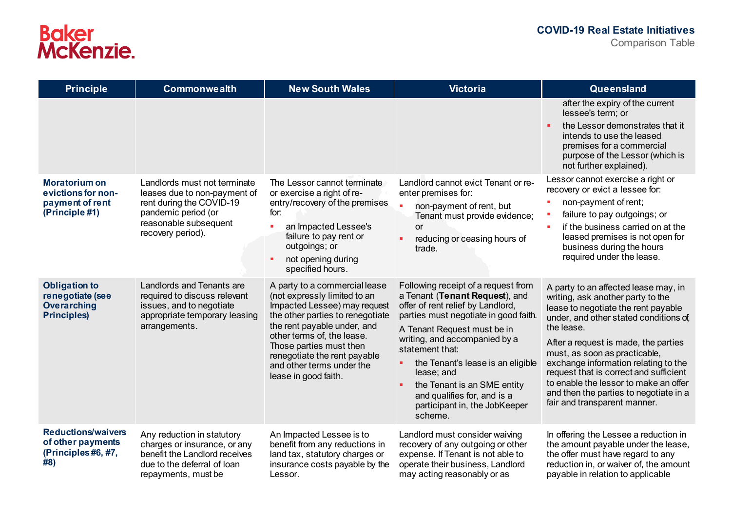| <b>Principle</b>                                                                     | <b>Commonwealth</b>                                                                                                                                           | <b>New South Wales</b>                                                                                                                                                                                                                                                                                         | <b>Victoria</b>                                                                                                                                                                                                                                                                                                                                                                                          | Queensland                                                                                                                                                                                                                                                                                                                                                                                                                                            |
|--------------------------------------------------------------------------------------|---------------------------------------------------------------------------------------------------------------------------------------------------------------|----------------------------------------------------------------------------------------------------------------------------------------------------------------------------------------------------------------------------------------------------------------------------------------------------------------|----------------------------------------------------------------------------------------------------------------------------------------------------------------------------------------------------------------------------------------------------------------------------------------------------------------------------------------------------------------------------------------------------------|-------------------------------------------------------------------------------------------------------------------------------------------------------------------------------------------------------------------------------------------------------------------------------------------------------------------------------------------------------------------------------------------------------------------------------------------------------|
|                                                                                      |                                                                                                                                                               |                                                                                                                                                                                                                                                                                                                |                                                                                                                                                                                                                                                                                                                                                                                                          | after the expiry of the current<br>lessee's term; or<br>the Lessor demonstrates that it<br>intends to use the leased<br>premises for a commercial<br>purpose of the Lessor (which is<br>not further explained).                                                                                                                                                                                                                                       |
| <b>Moratorium on</b><br>evictions for non-<br>payment of rent<br>(Principle #1)      | Landlords must not terminate<br>leases due to non-payment of<br>rent during the COVID-19<br>pandemic period (or<br>reasonable subsequent<br>recovery period). | The Lessor cannot terminate<br>or exercise a right of re-<br>entry/recovery of the premises<br>for:<br>٠<br>an Impacted Lessee's<br>failure to pay rent or<br>outgoings; or<br>not opening during<br>×<br>specified hours.                                                                                     | Landlord cannot evict Tenant or re-<br>enter premises for:<br>non-payment of rent, but<br>Tenant must provide evidence;<br><b>or</b><br>reducing or ceasing hours of<br>ä,<br>trade.                                                                                                                                                                                                                     | Lessor cannot exercise a right or<br>recovery or evict a lessee for:<br>non-payment of rent;<br>failure to pay outgoings; or<br>if the business carried on at the<br>٠<br>leased premises is not open for<br>business during the hours<br>required under the lease.                                                                                                                                                                                   |
| <b>Obligation to</b><br>renegotiate (see<br><b>Overarching</b><br><b>Principles)</b> | Landlords and Tenants are<br>required to discuss relevant<br>issues, and to negotiate<br>appropriate temporary leasing<br>arrangements.                       | A party to a commercial lease<br>(not expressly limited to an<br>Impacted Lessee) may request<br>the other parties to renegotiate<br>the rent payable under, and<br>other terms of, the lease.<br>Those parties must then<br>renegotiate the rent payable<br>and other terms under the<br>lease in good faith. | Following receipt of a request from<br>a Tenant (Tenant Request), and<br>offer of rent relief by Landlord,<br>parties must negotiate in good faith.<br>A Tenant Request must be in<br>writing, and accompanied by a<br>statement that:<br>the Tenant's lease is an eligible<br>٠<br>lease; and<br>the Tenant is an SME entity<br>and qualifies for, and is a<br>participant in, the JobKeeper<br>scheme. | A party to an affected lease may, in<br>writing, ask another party to the<br>lease to negotiate the rent payable<br>under, and other stated conditions of<br>the lease.<br>After a request is made, the parties<br>must, as soon as practicable,<br>exchange information relating to the<br>request that is correct and sufficient<br>to enable the lessor to make an offer<br>and then the parties to negotiate in a<br>fair and transparent manner. |
| <b>Reductions/waivers</b><br>of other payments<br>(Principles#6,#7,<br>#8)           | Any reduction in statutory<br>charges or insurance, or any<br>benefit the Landlord receives<br>due to the deferral of loan<br>repayments, must be             | An Impacted Lessee is to<br>benefit from any reductions in<br>land tax, statutory charges or<br>insurance costs payable by the<br>Lessor.                                                                                                                                                                      | Landlord must consider waiving<br>recovery of any outgoing or other<br>expense. If Tenant is not able to<br>operate their business, Landlord<br>may acting reasonably or as                                                                                                                                                                                                                              | In offering the Lessee a reduction in<br>the amount payable under the lease,<br>the offer must have regard to any<br>reduction in, or waiver of, the amount<br>payable in relation to applicable                                                                                                                                                                                                                                                      |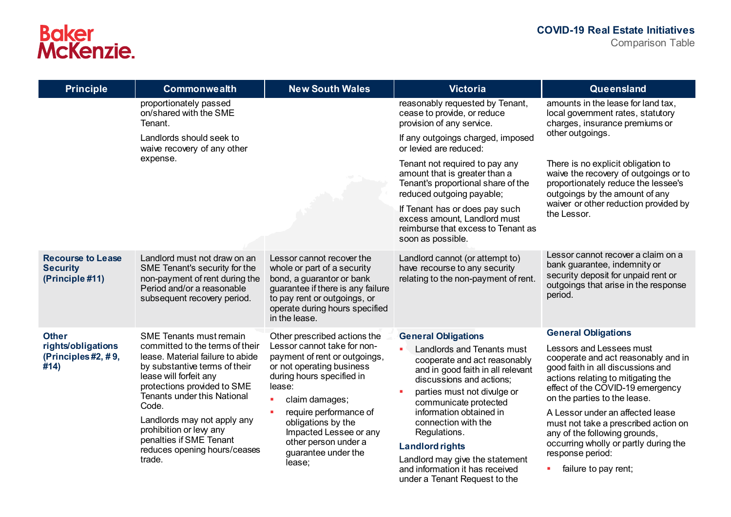| <b>Principle</b>                                                                                                                                                                                                                                                                                                          | <b>Commonwealth</b>                                                                                                                                          | <b>New South Wales</b>                                                                                                                                                                                        | <b>Victoria</b>                                                                                                                                                                                                  | Queensland                                                                                                                                                                                                     |
|---------------------------------------------------------------------------------------------------------------------------------------------------------------------------------------------------------------------------------------------------------------------------------------------------------------------------|--------------------------------------------------------------------------------------------------------------------------------------------------------------|---------------------------------------------------------------------------------------------------------------------------------------------------------------------------------------------------------------|------------------------------------------------------------------------------------------------------------------------------------------------------------------------------------------------------------------|----------------------------------------------------------------------------------------------------------------------------------------------------------------------------------------------------------------|
| proportionately passed<br>on/shared with the SME<br>Tenant.                                                                                                                                                                                                                                                               |                                                                                                                                                              | reasonably requested by Tenant,<br>cease to provide, or reduce<br>provision of any service.                                                                                                                   | amounts in the lease for land tax,<br>local government rates, statutory<br>charges, insurance premiums or                                                                                                        |                                                                                                                                                                                                                |
|                                                                                                                                                                                                                                                                                                                           | Landlords should seek to<br>waive recovery of any other                                                                                                      |                                                                                                                                                                                                               | If any outgoings charged, imposed<br>or levied are reduced:                                                                                                                                                      | other outgoings.                                                                                                                                                                                               |
|                                                                                                                                                                                                                                                                                                                           | expense.                                                                                                                                                     |                                                                                                                                                                                                               | Tenant not required to pay any<br>amount that is greater than a<br>Tenant's proportional share of the<br>reduced outgoing payable;                                                                               | There is no explicit obligation to<br>waive the recovery of outgoings or to<br>proportionately reduce the lessee's<br>outgoings by the amount of any                                                           |
|                                                                                                                                                                                                                                                                                                                           |                                                                                                                                                              | If Tenant has or does pay such<br>excess amount, Landlord must<br>reimburse that excess to Tenant as<br>soon as possible.                                                                                     | waiver or other reduction provided by<br>the Lessor.                                                                                                                                                             |                                                                                                                                                                                                                |
| <b>Recourse to Lease</b><br><b>Security</b><br>(Principle #11)                                                                                                                                                                                                                                                            | Landlord must not draw on an<br>SME Tenant's security for the<br>non-payment of rent during the<br>Period and/or a reasonable<br>subsequent recovery period. | Lessor cannot recover the<br>whole or part of a security<br>bond, a guarantor or bank<br>guarantee if there is any failure<br>to pay rent or outgoings, or<br>operate during hours specified<br>in the lease. | Landlord cannot (or attempt to)<br>have recourse to any security<br>relating to the non-payment of rent.                                                                                                         | Lessor cannot recover a claim on a<br>bank guarantee, indemnity or<br>security deposit for unpaid rent or<br>outgoings that arise in the response<br>period.                                                   |
| <b>Other</b>                                                                                                                                                                                                                                                                                                              | <b>SME Tenants must remain</b>                                                                                                                               | Other prescribed actions the                                                                                                                                                                                  | <b>General Obligations</b>                                                                                                                                                                                       | <b>General Obligations</b>                                                                                                                                                                                     |
| rights/obligations<br>(Principles #2, #9,<br>by substantive terms of their<br>#14)<br>lease will forfeit any<br>protections provided to SME<br><b>Tenants under this National</b><br>Code.<br>Landlords may not apply any<br>prohibition or levy any<br>penalties if SME Tenant<br>reduces opening hours/ceases<br>trade. | committed to the terms of their<br>lease. Material failure to abide                                                                                          | Lessor cannot take for non-<br>payment of rent or outgoings,<br>or not operating business<br>during hours specified in<br>lease:<br>claim damages;                                                            | Landlords and Tenants must<br>cooperate and act reasonably<br>and in good faith in all relevant<br>discussions and actions;<br>parties must not divulge or<br>communicate protected                              | Lessors and Lessees must<br>cooperate and act reasonably and in<br>good faith in all discussions and<br>actions relating to mitigating the<br>effect of the COVID-19 emergency<br>on the parties to the lease. |
|                                                                                                                                                                                                                                                                                                                           | require performance of<br>obligations by the<br>Impacted Lessee or any<br>other person under a<br>guarantee under the<br>lease;                              | information obtained in<br>connection with the<br>Regulations.<br><b>Landlord rights</b><br>Landlord may give the statement<br>and information it has received                                                | A Lessor under an affected lease<br>must not take a prescribed action on<br>any of the following grounds,<br>occurring wholly or partly during the<br>response period:<br>failure to pay rent;<br>$\blacksquare$ |                                                                                                                                                                                                                |

under a Tenant Request to the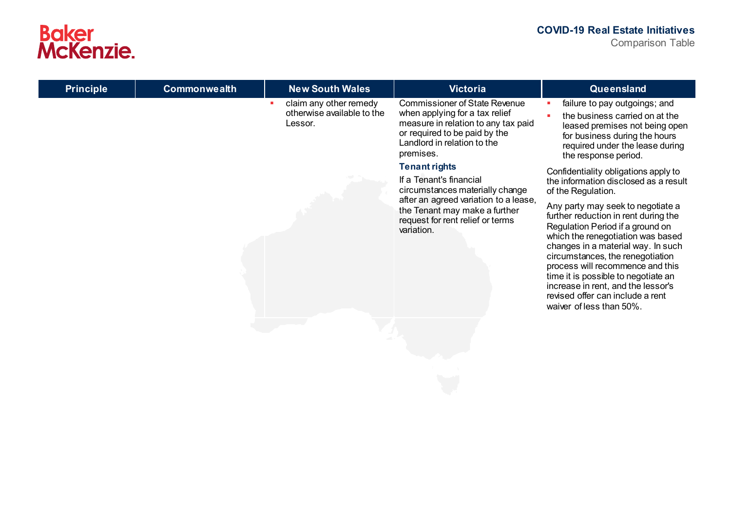| <b>Principle</b> | <b>Commonwealth</b> | <b>New South Wales</b>                                          | <b>Victoria</b>                                                                                                                                                                            | Queensland                                                                                                                                                                                                                                                                                                                                                                                                    |
|------------------|---------------------|-----------------------------------------------------------------|--------------------------------------------------------------------------------------------------------------------------------------------------------------------------------------------|---------------------------------------------------------------------------------------------------------------------------------------------------------------------------------------------------------------------------------------------------------------------------------------------------------------------------------------------------------------------------------------------------------------|
|                  |                     | claim any other remedy<br>otherwise available to the<br>Lessor. | <b>Commissioner of State Revenue</b><br>when applying for a tax relief<br>measure in relation to any tax paid<br>or required to be paid by the<br>Landlord in relation to the<br>premises. | failure to pay outgoings; and<br>the business carried on at the<br>leased premises not being open<br>for business during the hours<br>required under the lease during<br>the response period.                                                                                                                                                                                                                 |
|                  |                     |                                                                 | <b>Tenant rights</b><br>If a Tenant's financial<br>circumstances materially change                                                                                                         | Confidentiality obligations apply to<br>the information disclosed as a result<br>of the Regulation.                                                                                                                                                                                                                                                                                                           |
|                  |                     |                                                                 | after an agreed variation to a lease,<br>the Tenant may make a further<br>request for rent relief or terms<br>variation.                                                                   | Any party may seek to negotiate a<br>further reduction in rent during the<br>Regulation Period if a ground on<br>which the renegotiation was based<br>changes in a material way. In such<br>circumstances, the renegotiation<br>process will recommence and this<br>time it is possible to negotiate an<br>increase in rent, and the lessor's<br>revised offer can include a rent<br>waiver of less than 50%. |
|                  |                     |                                                                 |                                                                                                                                                                                            |                                                                                                                                                                                                                                                                                                                                                                                                               |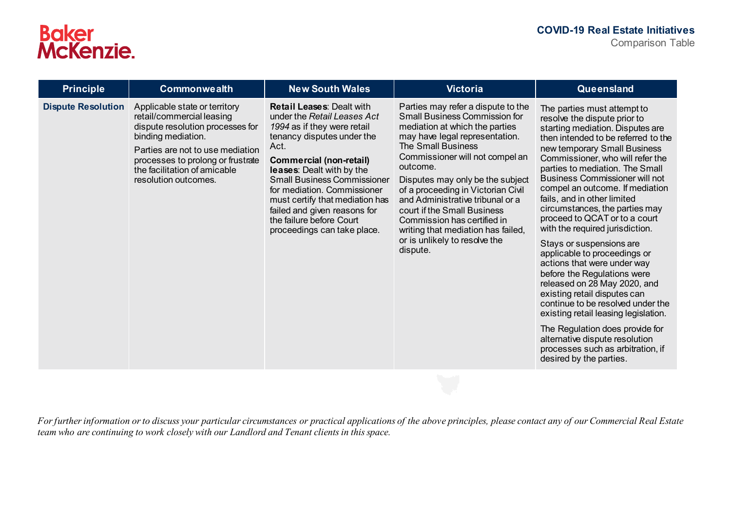| <b>Principle</b>          | <b>Commonwealth</b>                                                                                                                                                                                                                                   | <b>New South Wales</b>                                                                                                                                                                                                                                                                                                                                                                                 | <b>Victoria</b>                                                                                                                                                                                                                                                                                                                                                                                                                                                                    | Queensland                                                                                                                                                                                                                                                                                                                                                                                                                                                                                                                                                                                                                                                                                                                                                                                                                                                                 |
|---------------------------|-------------------------------------------------------------------------------------------------------------------------------------------------------------------------------------------------------------------------------------------------------|--------------------------------------------------------------------------------------------------------------------------------------------------------------------------------------------------------------------------------------------------------------------------------------------------------------------------------------------------------------------------------------------------------|------------------------------------------------------------------------------------------------------------------------------------------------------------------------------------------------------------------------------------------------------------------------------------------------------------------------------------------------------------------------------------------------------------------------------------------------------------------------------------|----------------------------------------------------------------------------------------------------------------------------------------------------------------------------------------------------------------------------------------------------------------------------------------------------------------------------------------------------------------------------------------------------------------------------------------------------------------------------------------------------------------------------------------------------------------------------------------------------------------------------------------------------------------------------------------------------------------------------------------------------------------------------------------------------------------------------------------------------------------------------|
| <b>Dispute Resolution</b> | Applicable state or territory<br>retail/commercial leasing<br>dispute resolution processes for<br>binding mediation.<br>Parties are not to use mediation<br>processes to prolong or frustrate<br>the facilitation of amicable<br>resolution outcomes. | <b>Retail Leases: Dealt with</b><br>under the Retail Leases Act<br>1994 as if they were retail<br>tenancy disputes under the<br>Act.<br><b>Commercial (non-retail)</b><br>leases: Dealt with by the<br><b>Small Business Commissioner</b><br>for mediation. Commissioner<br>must certify that mediation has<br>failed and given reasons for<br>the failure before Court<br>proceedings can take place. | Parties may refer a dispute to the<br><b>Small Business Commission for</b><br>mediation at which the parties<br>may have legal representation.<br>The Small Business<br>Commissioner will not compel an<br>outcome.<br>Disputes may only be the subject<br>of a proceeding in Victorian Civil<br>and Administrative tribunal or a<br>court if the Small Business<br>Commission has certified in<br>writing that mediation has failed,<br>or is unlikely to resolve the<br>dispute. | The parties must attempt to<br>resolve the dispute prior to<br>starting mediation. Disputes are<br>then intended to be referred to the<br>new temporary Small Business<br>Commissioner, who will refer the<br>parties to mediation. The Small<br><b>Business Commissioner will not</b><br>compel an outcome. If mediation<br>fails, and in other limited<br>circumstances, the parties may<br>proceed to QCAT or to a court<br>with the required jurisdiction.<br>Stays or suspensions are<br>applicable to proceedings or<br>actions that were under way<br>before the Regulations were<br>released on 28 May 2020, and<br>existing retail disputes can<br>continue to be resolved under the<br>existing retail leasing legislation.<br>The Regulation does provide for<br>alternative dispute resolution<br>processes such as arbitration, if<br>desired by the parties. |

*For further information or to discuss your particular circumstances or practical applications of the above principles, please contact any of our Commercial Real Estate team who are continuing to work closely with our Landlord and Tenant clients in this space.*